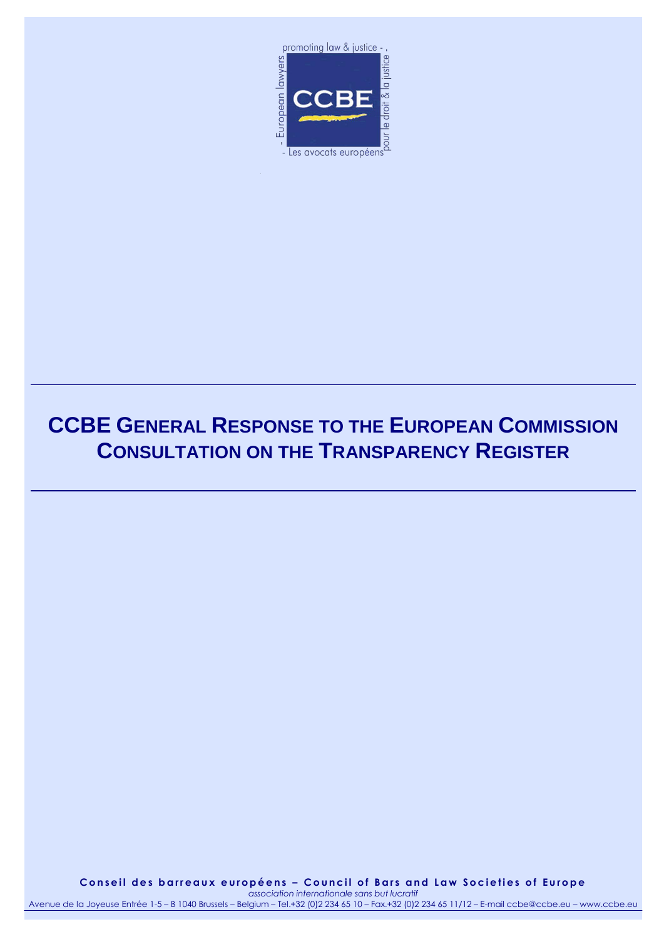

# **CCBE GENERAL RESPONSE TO THE EUROPEAN COMMISSION CONSULTATION ON THE TRANSPARENCY REGISTER**

**C o n s e i l d e s b a r r e a u x e u r o p é e n s – C o u n c i l o f B a r s a n d L a w S o c i e t i e s o f E u r o p e** *association internationale sans but lucratif*

Avenue de la Joyeuse Entrée 1-5 – B 1040 Brussels – Belgium – Tel.+32 (0)2 234 65 10 – Fax.+32 (0)2 234 65 11/12 – E-mail ccbe@ccbe.eu – www.ccbe.eu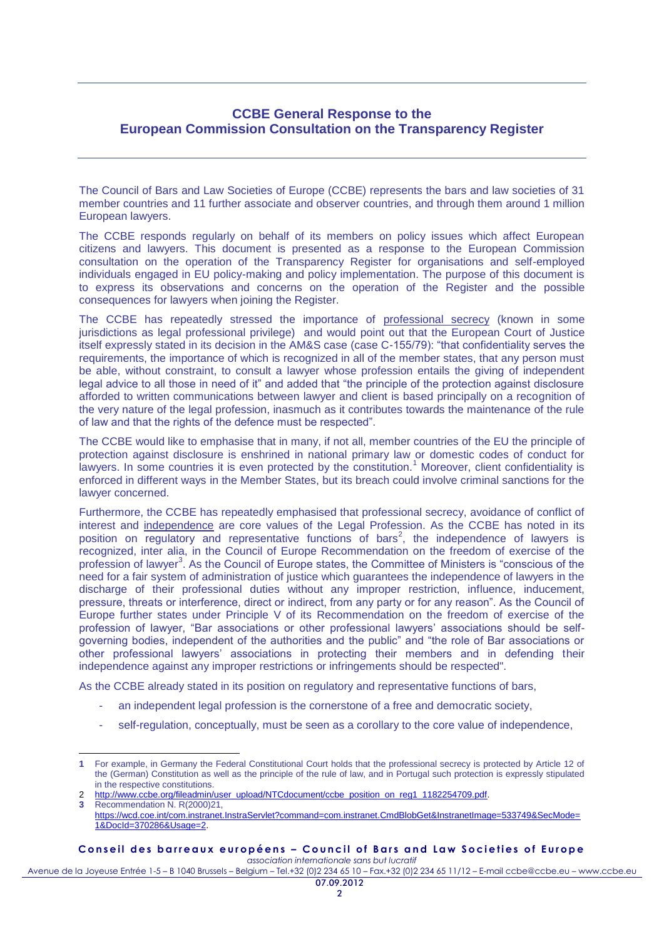## **CCBE General Response to the European Commission Consultation on the Transparency Register**

The Council of Bars and Law Societies of Europe (CCBE) represents the bars and law societies of 31 member countries and 11 further associate and observer countries, and through them around 1 million European lawyers.

The CCBE responds regularly on behalf of its members on policy issues which affect European citizens and lawyers. This document is presented as a response to the European Commission consultation on the operation of the Transparency Register for organisations and self-employed individuals engaged in EU policy-making and policy implementation. The purpose of this document is to express its observations and concerns on the operation of the Register and the possible consequences for lawyers when joining the Register.

The CCBE has repeatedly stressed the importance of professional secrecy (known in some jurisdictions as legal professional privilege) and would point out that the European Court of Justice itself expressly stated in its decision in the AM&S case (case C-155/79): "that confidentiality serves the requirements, the importance of which is recognized in all of the member states, that any person must be able, without constraint, to consult a lawyer whose profession entails the giving of independent legal advice to all those in need of it" and added that "the principle of the protection against disclosure afforded to written communications between lawyer and client is based principally on a recognition of the very nature of the legal profession, inasmuch as it contributes towards the maintenance of the rule of law and that the rights of the defence must be respected".

The CCBE would like to emphasise that in many, if not all, member countries of the EU the principle of protection against disclosure is enshrined in national primary law or domestic codes of conduct for lawyers. In some countries it is even protected by the constitution.<sup>1</sup> Moreover, client confidentiality is enforced in different ways in the Member States, but its breach could involve criminal sanctions for the lawyer concerned.

Furthermore, the CCBE has repeatedly emphasised that professional secrecy, avoidance of conflict of interest and independence are core values of the Legal Profession. As the CCBE has noted in its position on  $\overline{\text{regularity}}$  and representative functions of bars<sup>2</sup>, the independence of lawyers is recognized, inter alia, in the Council of Europe Recommendation on the freedom of exercise of the profession of lawyer<sup>3</sup>. As the Council of Europe states, the Committee of Ministers is "conscious of the need for a fair system of administration of justice which guarantees the independence of lawyers in the discharge of their professional duties without any improper restriction, influence, inducement, pressure, threats or interference, direct or indirect, from any party or for any reason". As the Council of Europe further states under Principle V of its Recommendation on the freedom of exercise of the profession of lawyer, "Bar associations or other professional lawyers' associations should be selfgoverning bodies, independent of the authorities and the public" and "the role of Bar associations or other professional lawyers' associations in protecting their members and in defending their independence against any improper restrictions or infringements should be respected".

As the CCBE already stated in its position on regulatory and representative functions of bars,

- an independent legal profession is the cornerstone of a free and democratic society,
- self-regulation, conceptually, must be seen as a corollary to the core value of independence,

**C o n s e i l d e s b a r r e a u x e u r o p é e n s – C o u n c i l o f B a r s a n d L a w S o c i e t i e s o f E u r o p e**

*association internationale sans but lucratif* Avenue de la Joyeuse Entrée 1-5 – B 1040 Brussels – Belgium – Tel.+32 (0)2 234 65 10 – Fax.+32 (0)2 234 65 11/12 – E-mail ccbe@ccbe.eu – www.ccbe.eu

l **1** For example, in Germany the Federal Constitutional Court holds that the professional secrecy is protected by Article 12 of the (German) Constitution as well as the principle of the rule of law, and in Portugal such protection is expressly stipulated in the respective constitutions.

[http://www.ccbe.org/fileadmin/user\\_upload/NTCdocument/ccbe\\_position\\_on\\_reg1\\_1182254709.pdf.](http://www.ccbe.org/fileadmin/user_upload/NTCdocument/ccbe_position_on_reg1_1182254709.pdf)

**<sup>3</sup>** Recommendation N. R(2000)21, [https://wcd.coe.int/com.instranet.InstraServlet?command=com.instranet.CmdBlobGet&InstranetImage=533749&SecMode=](https://wcd.coe.int/com.instranet.InstraServlet?command=com.instranet.CmdBlobGet&InstranetImage=533749&SecMode=1&DocId=370286&Usage=2) [1&DocId=370286&Usage=2.](https://wcd.coe.int/com.instranet.InstraServlet?command=com.instranet.CmdBlobGet&InstranetImage=533749&SecMode=1&DocId=370286&Usage=2)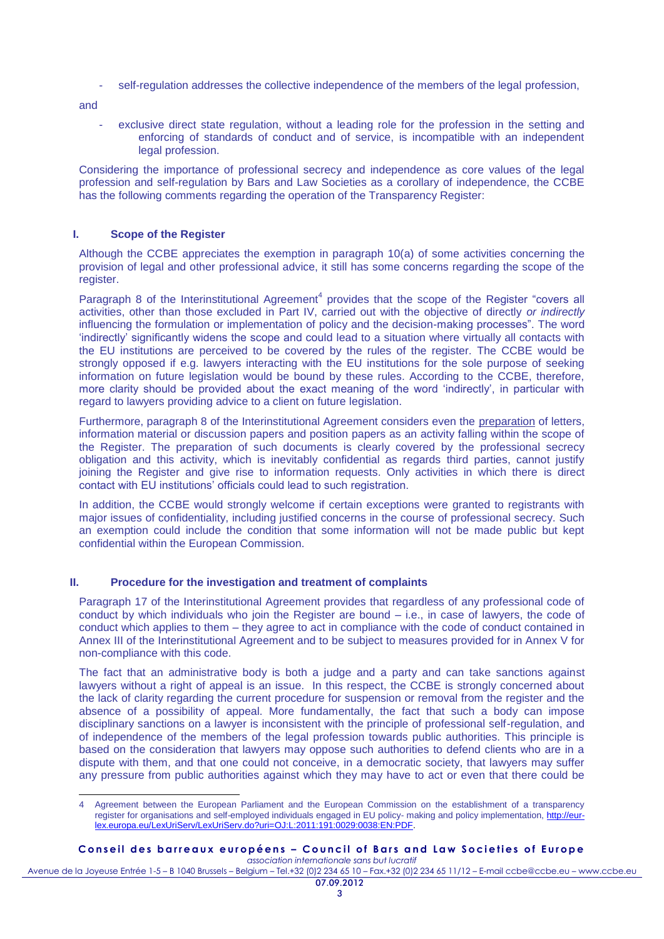self-regulation addresses the collective independence of the members of the legal profession,

and

exclusive direct state regulation, without a leading role for the profession in the setting and enforcing of standards of conduct and of service, is incompatible with an independent legal profession.

Considering the importance of professional secrecy and independence as core values of the legal profession and self-regulation by Bars and Law Societies as a corollary of independence, the CCBE has the following comments regarding the operation of the Transparency Register:

### **I. Scope of the Register**

Although the CCBE appreciates the exemption in paragraph 10(a) of some activities concerning the provision of legal and other professional advice, it still has some concerns regarding the scope of the register.

Paragraph 8 of the Interinstitutional Agreement<sup>4</sup> provides that the scope of the Register "covers all activities, other than those excluded in Part IV, carried out with the objective of directly *or indirectly* influencing the formulation or implementation of policy and the decision-making processes". The word 'indirectly' significantly widens the scope and could lead to a situation where virtually all contacts with the EU institutions are perceived to be covered by the rules of the register. The CCBE would be strongly opposed if e.g. lawyers interacting with the EU institutions for the sole purpose of seeking information on future legislation would be bound by these rules. According to the CCBE, therefore, more clarity should be provided about the exact meaning of the word 'indirectly', in particular with regard to lawyers providing advice to a client on future legislation.

Furthermore, paragraph 8 of the Interinstitutional Agreement considers even the preparation of letters, information material or discussion papers and position papers as an activity falling within the scope of the Register. The preparation of such documents is clearly covered by the professional secrecy obligation and this activity, which is inevitably confidential as regards third parties, cannot justify joining the Register and give rise to information requests. Only activities in which there is direct contact with EU institutions' officials could lead to such registration.

In addition, the CCBE would strongly welcome if certain exceptions were granted to registrants with major issues of confidentiality, including justified concerns in the course of professional secrecy. Such an exemption could include the condition that some information will not be made public but kept confidential within the European Commission.

#### **II. Procedure for the investigation and treatment of complaints**

Paragraph 17 of the Interinstitutional Agreement provides that regardless of any professional code of conduct by which individuals who join the Register are bound – i.e., in case of lawyers, the code of conduct which applies to them – they agree to act in compliance with the code of conduct contained in Annex III of the Interinstitutional Agreement and to be subject to measures provided for in Annex V for non-compliance with this code.

The fact that an administrative body is both a judge and a party and can take sanctions against lawyers without a right of appeal is an issue. In this respect, the CCBE is strongly concerned about the lack of clarity regarding the current procedure for suspension or removal from the register and the absence of a possibility of appeal. More fundamentally, the fact that such a body can impose disciplinary sanctions on a lawyer is inconsistent with the principle of professional self-regulation, and of independence of the members of the legal profession towards public authorities. This principle is based on the consideration that lawyers may oppose such authorities to defend clients who are in a dispute with them, and that one could not conceive, in a democratic society, that lawyers may suffer any pressure from public authorities against which they may have to act or even that there could be

#### Conseil des barreaux européens - Council of Bars and Law Societies of Europe *association internationale sans but lucratif*

Avenue de la Joyeuse Entrée 1-5 – B 1040 Brussels – Belgium – Tel.+32 (0)2 234 65 10 – Fax.+32 (0)2 234 65 11/12 – E-mail ccbe@ccbe.eu – www.ccbe.eu

 $\overline{a}$ 4 Agreement between the European Parliament and the European Commission on the establishment of a transparency register for organisations and self-employed individuals engaged in EU policy- making and policy implementation, [http://eur](http://eur-lex.europa.eu/LexUriServ/LexUriServ.do?uri=OJ:L:2011:191:0029:0038:EN:PDF)[lex.europa.eu/LexUriServ/LexUriServ.do?uri=OJ:L:2011:191:0029:0038:EN:PDF.](http://eur-lex.europa.eu/LexUriServ/LexUriServ.do?uri=OJ:L:2011:191:0029:0038:EN:PDF)